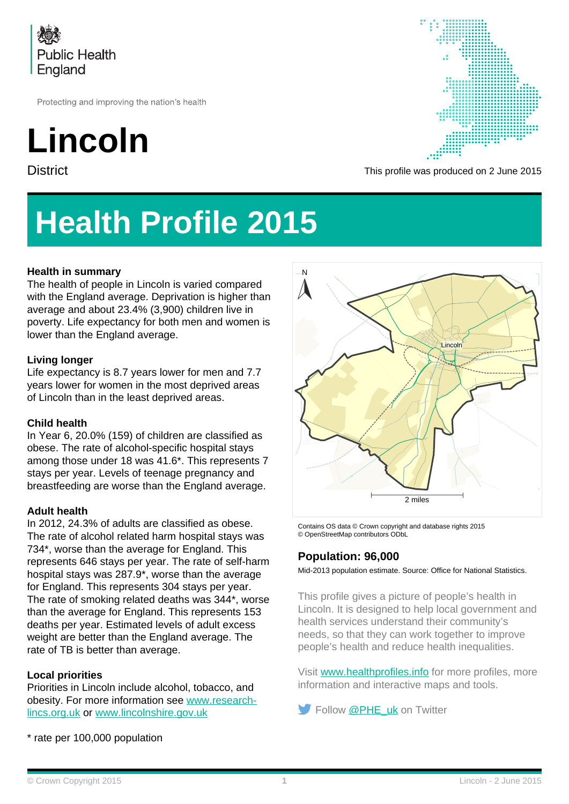

Protecting and improving the nation's health

# **Lincoln**



District District Community Controller This profile was produced on 2 June 2015

## **Health Profile 2015**

### **Health in summary**

The health of people in Lincoln is varied compared with the England average. Deprivation is higher than average and about 23.4% (3,900) children live in poverty. Life expectancy for both men and women is lower than the England average.

#### **Living longer**

Life expectancy is 8.7 years lower for men and 7.7 years lower for women in the most deprived areas of Lincoln than in the least deprived areas.

#### **Child health**

In Year 6, 20.0% (159) of children are classified as obese. The rate of alcohol-specific hospital stays among those under 18 was 41.6\*. This represents 7 stays per year. Levels of teenage pregnancy and breastfeeding are worse than the England average.

#### **Adult health**

In 2012, 24.3% of adults are classified as obese. The rate of alcohol related harm hospital stays was 734\*, worse than the average for England. This represents 646 stays per year. The rate of self-harm hospital stays was 287.9\*, worse than the average for England. This represents 304 stays per year. The rate of smoking related deaths was 344\*, worse than the average for England. This represents 153 deaths per year. Estimated levels of adult excess weight are better than the England average. The rate of TB is better than average.

#### **Local priorities**

Priorities in Lincoln include alcohol, tobacco, and obesity. For more information see [www.research](http://www.research-lincs.org.uk)[lincs.org.uk](http://www.research-lincs.org.uk) or [www.lincolnshire.gov.uk](http://www.lincolnshire.gov.uk)

\* rate per 100,000 population



Contains OS data © Crown copyright and database rights 2015 © OpenStreetMap contributors ODbL

### **Population: 96,000**

Mid-2013 population estimate. Source: Office for National Statistics.

This profile gives a picture of people's health in Lincoln. It is designed to help local government and health services understand their community's needs, so that they can work together to improve people's health and reduce health inequalities.

Visit [www.healthprofiles.info](http://www.healthprofiles.info) for more profiles, more information and interactive maps and tools.

Follow [@PHE\\_uk](http://www.twitter.com/PHE_uk) on Twitter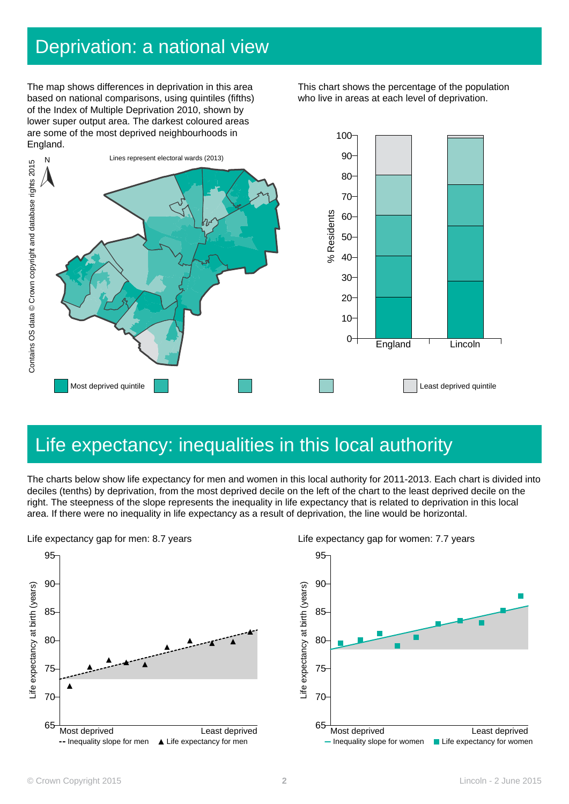### Deprivation: a national view

The map shows differences in deprivation in this area based on national comparisons, using quintiles (fifths) of the Index of Multiple Deprivation 2010, shown by lower super output area. The darkest coloured areas are some of the most deprived neighbourhoods in England.

This chart shows the percentage of the population who live in areas at each level of deprivation.



### Life expectancy: inequalities in this local authority

The charts below show life expectancy for men and women in this local authority for 2011-2013. Each chart is divided into deciles (tenths) by deprivation, from the most deprived decile on the left of the chart to the least deprived decile on the right. The steepness of the slope represents the inequality in life expectancy that is related to deprivation in this local





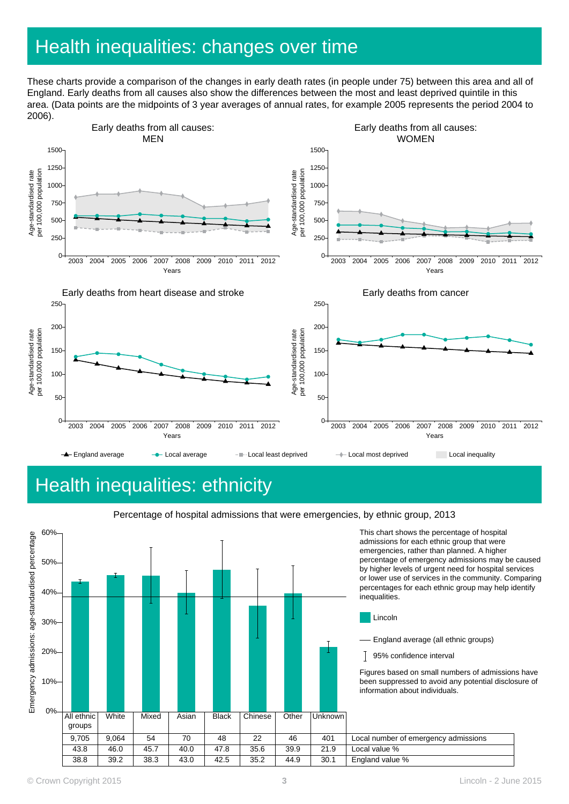### Health inequalities: changes over time

These charts provide a comparison of the changes in early death rates (in people under 75) between this area and all of England. Early deaths from all causes also show the differences between the most and least deprived quintile in this area. (Data points are the midpoints of 3 year averages of annual rates, for example 2005 represents the period 2004 to 2006).



## Health inequalities: ethnicity